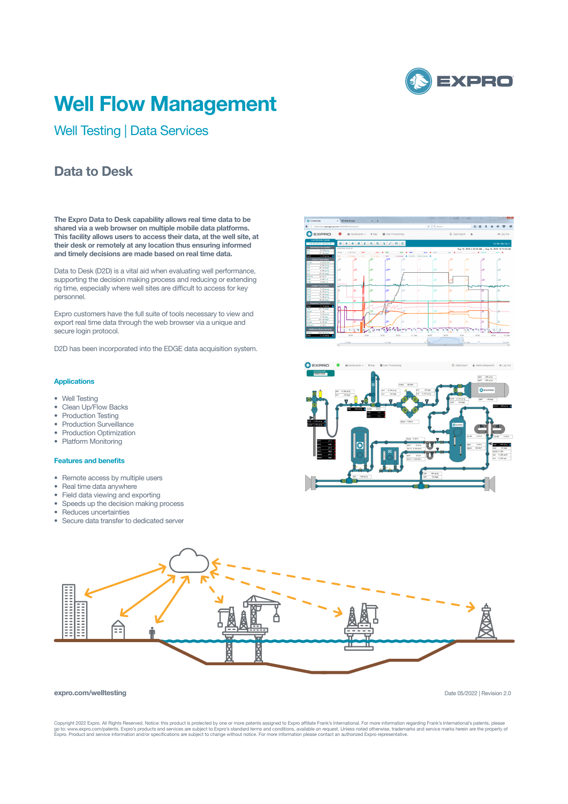

# **Well Flow Management**

Well Testing | Data Services

### **Data to Desk**

**The Expro Data to Desk capability allows real time data to be shared via a web browser on multiple mobile data platforms. This facility allows users to access their data, at the well site, at their desk or remotely at any location thus ensuring informed and timely decisions are made based on real time data.**

Data to Desk (D2D) is a vital aid when evaluating well performance, supporting the decision making process and reducing or extending rig time, especially where well sites are difficult to access for key personnel.

Expro customers have the full suite of tools necessary to view and export real time data through the web browser via a unique and secure login protocol.

D2D has been incorporated into the EDGE data acquisition system.

### **Applications**

- Well Testing
- Clean Up/Flow Backs
- Production Testing
- Production Surveillance
- Production Optimization
- Platform Monitoring

#### **Features and benefits**

- Remote access by multiple users
- Real time data anywhere
- Field data viewing and exporting
- Speeds up the decision making process
- Reduces uncertainties
- Secure data transfer to dedicated server







#### **expro.com/welltesting**

Copyright 2022 Expro. All Rights Reserved. Notice: this product is protected by one or more patents assigned to Expro affiliate Frank's International. For more information regarding Frank's International's patents, please<br>

Date 05/2022 | Revision 2.0